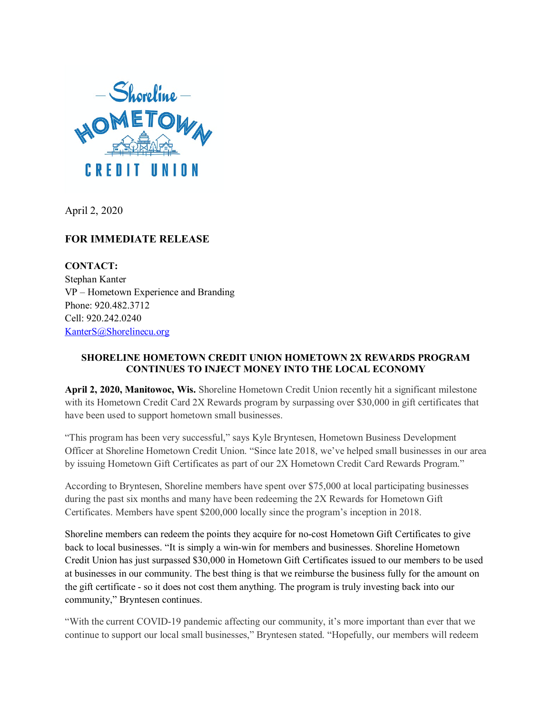

April 2, 2020

## **FOR IMMEDIATE RELEASE**

**CONTACT:** Stephan Kanter VP – Hometown Experience and Branding Phone: 920.482.3712 Cell: 920.242.0240 [KanterS@Shorelinecu.org](mailto:KanterS@Shorelinecu.org)

## **SHORELINE HOMETOWN CREDIT UNION HOMETOWN 2X REWARDS PROGRAM CONTINUES TO INJECT MONEY INTO THE LOCAL ECONOMY**

**April 2, 2020, Manitowoc, Wis.** Shoreline Hometown Credit Union recently hit a significant milestone with its Hometown Credit Card 2X Rewards program by surpassing over \$30,000 in gift certificates that have been used to support hometown small businesses.

"This program has been very successful," says Kyle Bryntesen, Hometown Business Development Officer at Shoreline Hometown Credit Union. "Since late 2018, we've helped small businesses in our area by issuing Hometown Gift Certificates as part of our 2X Hometown Credit Card Rewards Program."

According to Bryntesen, Shoreline members have spent over \$75,000 at local participating businesses during the past six months and many have been redeeming the 2X Rewards for Hometown Gift Certificates. Members have spent \$200,000 locally since the program's inception in 2018.

Shoreline members can redeem the points they acquire for no-cost Hometown Gift Certificates to give back to local businesses. "It is simply a win-win for members and businesses. Shoreline Hometown Credit Union has just surpassed \$30,000 in Hometown Gift Certificates issued to our members to be used at businesses in our community. The best thing is that we reimburse the business fully for the amount on the gift certificate - so it does not cost them anything. The program is truly investing back into our community," Bryntesen continues.

"With the current COVID-19 pandemic affecting our community, it's more important than ever that we continue to support our local small businesses," Bryntesen stated. "Hopefully, our members will redeem